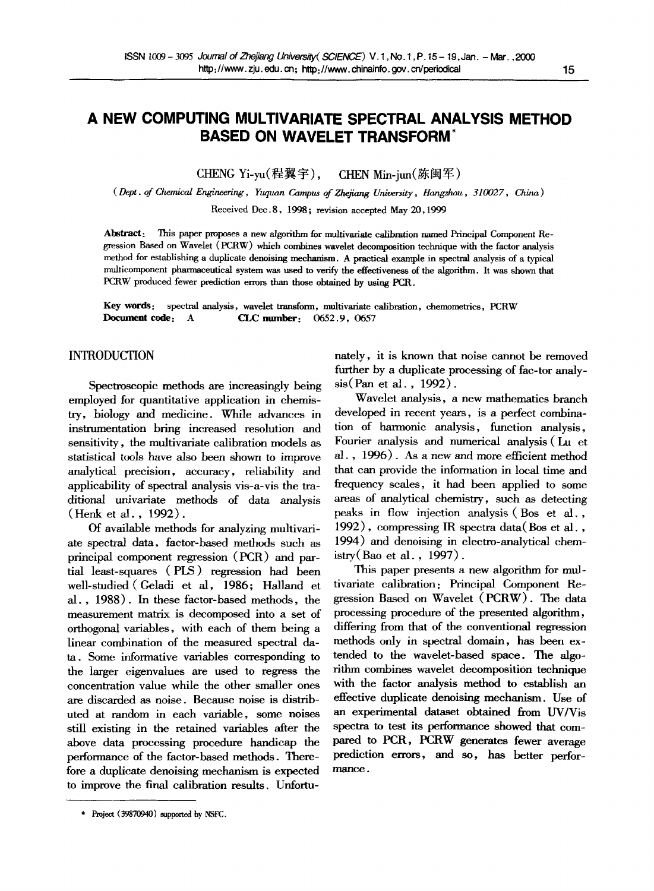# **A NEW COMPUTING MULTIVARIATE SPECTRAL ANALYSIS METHOD BASED ON WAVELET TRANSFORM**

CHENG Yi-yu(程翼宇), CHEN Min-jun(陈闽军)

*( Dept. of Chemical Engineering, Yuquan Campus of Zhejiang University, Hangzhou, 310027, China)* 

Received Dec.8, 1998; revision accepted May 20,1999

Abstract: This paper proposes a new algorithm for multivariate calibration named Principal Component Regression Based on Wavelet (PCRW) which combines wavelet decomposition technique with the factor analysis method for establishing a duplicate denoising mechanism. A practical example in spectral analysis of a typical multicompenent pharmaceutical system was used to verify the effectiveness of the algorithm. It was shown that PCRW produced fewer prediction errors than those obtained by using PCR.

Key words: spectral analysis, wavelet transform, multivariate calibration, chemometrics, PCRW Document code: A CLC number: 0652.9, 0657

# **INTRODUCTION**

Spectroscopic methods are increasingly being employed for quantitative application in chemistry, biology and medicine. While advances in instrumentation bring increased resolution and sensitivity, the multivariate calibration models as statistical tools have also been shown to improve analytical precision, accuracy, reliability and applicability of spectral analysis vis-a-vis the traditional univariate methods of data analysis (Henk et al., 1992).

Of available methods for analyzing multivariate spectral data, factor-based methods such as principal component regression (PCR) and partial least-squares (PLS) regression had been well-studied (Geladi et al, 1986; Halland et al., 1988). In these factor-based methods, the measurement matrix is decomposed into a set of orthogonal variables, with each of them being a linear combination of the measured spectral dam. Some informative variables corresponding to the larger eigenvalues are used to regress the concentration value while the other smaller ones are discarded as noise. Because noise is distributed at random in each variable, some noises still existing in the retained variables after the above data processing procedure handicap the performance of the factor-based methods. Therefore a duplicate denoising mechanism is expected to improve the final calibration results. Unfortunately, it is known that noise cannot be removed further by a duplicate processing of fac-tor analysis(Pan et al. , 1992).

Wavelet analysis, a new mathematics branch developed in recent years, is a perfect combination of harmonic analysis, function analysis, Fourier analysis and numerical analysis (Lu et al., 1996). As a new and more efficient method that can provide the information in local time and frequency scales, it had been applied to some areas of analytical chemistry, such as detecting peaks in flow injection analysis (Bos et al., 1992), compressing IR spectra data(Bos et al., 1994) and denoising in electro-analytical chemistry(Bao et al., 1997).

This paper presents a new algorithm for multivariate calibration: Principal Component Regression Based on Wavelet (PCRW). The data processing procedure of the presented algorithm, differing from that of the conventional regression methods only in spectral domain, has been extended to the wavelet-based space. The algorithm combines wavelet decomposition technique with the factor analysis method to establish an effective duplicate denoising mechanism. Use of an experimental dataset obtained from UV/Vis spectra to test its performance showed that compared to PCR, PCRW generates fewer average prediction errors, and so, has better performance.

Project (39870940) supported by NSFC.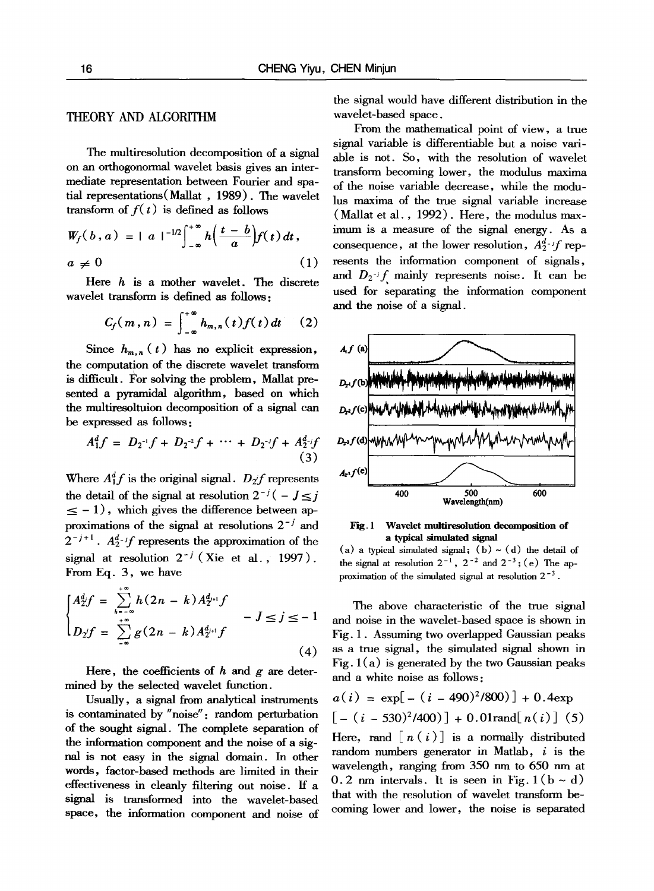## **THEORY AND ALGORITHM**

The multiresolution decomposition of a signal on an orthogonormal wavelet basis gives an intermediate representation between Fourier and spatial representations(Mallat , 1989). The wavelet transform of  $f(t)$  is defined as follows

$$
W_f(b,a) = |a|^{-1/2} \int_{-\infty}^{+\infty} h\left(\frac{t-b}{a}\right) f(t) dt,
$$
  
\n
$$
a \neq 0
$$
\n(1)

Here  $h$  is a mother wavelet. The discrete wavelet transform is defined as follows:

$$
C_f(m,n) = \int_{-\infty}^{+\infty} h_{m,n}(t) f(t) dt \qquad (2)
$$

Since  $h_{m,n}(t)$  has no explicit expression, the computation of the discrete wavelet transform is difficult. For solving the problem, Mallat presented a pyramidal algorithm, based on which the multiresoltuion decomposition of a signal can be expressed as follows:

$$
A_1^d f = D_2^{-1} f + D_2^{-2} f + \cdots + D_2^{-1} f + A_2^d f
$$
  
(3)

Where  $A_1^d f$  is the original signal.  $D_2 f$  represents the detail of the signal at resolution  $2^{-j}(-J \leq j)$  $\leq -1$ , which gives the difference between approximations of the signal at resolutions  $2^{-j}$  and  $2^{-j+1}$ .  $A_2^{d-j}f$  represents the approximation of the signal at resolution  $2^{-j}$  (Xie et al., 1997). From Eq. 3, we have

$$
\begin{cases}\nA_2^d f = \sum_{k=-\infty}^{+\infty} h(2n-k) A_{2^{i+1}}^{d_{2^{i+1}}} f \\
D_2 f = \sum_{k=-\infty}^{+\infty} g(2n-k) A_{2^{i+1}}^{d_{2^{i+1}}} f\n\end{cases} - J \le j \le -1
$$
\n(4)

Here, the coefficients of  $h$  and  $g$  are determined by the selected wavelet function.

Usually, a signal from analytical instruments is contaminated by "noise": random perturbation of the sought signal. The complete separation of the information component and the noise of a signal is not easy in the signal domain. In other words, factor-based methods are limited in their effectiveness in cleanly filtering out noise, ff a signal is transformed into the wavelet-based space, the information component and noise of

the signal would have different distribution in the wavelet-based space.

From the mathematical point of view, a true signal variable is differentiable but a noise variable is not. So, with the resolution of wavelet transform becoming lower, the modulus maxima of the noise variable decrease, while the modulus maxima of the true signal variable increase (Mallat et al., 1992). Here, the modulus maximum is a measure of the signal energy. As a consequence, at the lower resolution,  $A_2^d$ -*if* represents the information component of signals, and  $D_2$ -if mainly represents noise. It can be used for separating the information component and the noise of a signal.



Fig. 1 **Wavelet multiresolution decomposition of**  a typical simulated signal

The above characteristic of the true signal and noise in the wavelet-based space is shown in Fig. 1. Assuming two overlapped Gaussian peaks as a true signal, the simulated signal shown in Fig.  $1(a)$  is generated by the two Gaussian peaks and a white noise as follows:

$$
a(i) = \exp[-(i - 490)^{2}/800)] + 0.4 \exp[-(i - 530)^{2}/400)] + 0.01 \text{rand}[n(i)] (5)
$$

Here, rand  $[n(i)]$  is a normally distributed random numbers generator in Matlab,  $i$  is the wavelength, ranging from 350 nm to 650 nm at 0.2 nm intervals. It is seen in Fig.  $1(b - d)$ that with the resolution of wavelet transform becoming lower and lower, the noise is separated

<sup>(</sup>a) a typical simulated signal; (b)  $\sim$  (d) the detail of the signal at resolution  $2^{-1}$ ,  $2^{-2}$  and  $2^{-3}$ ; (e) The approximation of the simulated signal at resolution  $2^{-3}$ .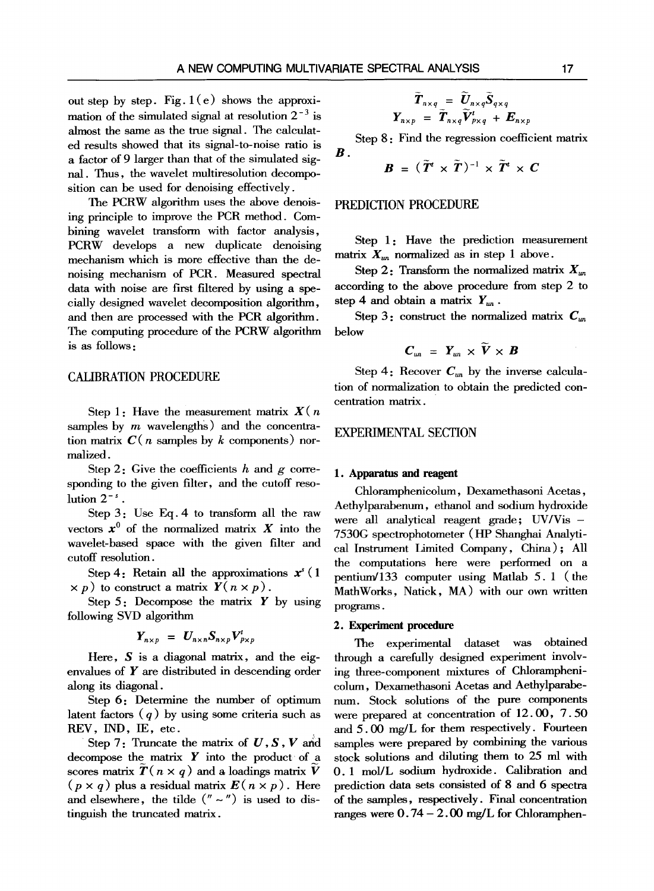out step by step. Fig.  $1(e)$  shows the approximation of the simulated signal at resolution  $2^{-3}$  is almost the same as the true signal. The calculated results showed that its signal-to-noise ratio is a factor of 9 larger than that of the simulated signal. Thus, the wavelet multiresolution decomposition can be used for denoising effectively.

The PCRW algorithm uses the above denoising principle to improve the PCR method. Combining wavelet transform with factor analysis, PCRW develops a new duplicate denoising mechanism which is more effective than the denoising mechanism of PCR. Measured spectral data with noise are first filtered by using a specially designed wavelet decomposition algorithm, and then are processed with the PCR algorithm. The computing procedure of the PCRW algorithm is as follows:

## CALIBRATION PROCEDURE

Step 1: Have the measurement matrix  $X(n)$ samples by  $m$  wavelengths) and the concentration matrix  $C(n)$  samples by k components) normalized.

Step 2: Give the coefficients h and  $g$  corresponding to the given filter, and the cutoff resolution  $2^{-s}$ .

Step 3: Use Eq. 4 to transform all the raw vectors  $x^0$  of the normalized matrix X into the wavelet-based space with the given filter and cutoff resolution.

Step 4: Retain all the approximations  $x^3$  (1)  $\times p$ ) to construct a matrix  $Y(n \times p)$ .

Step  $5$ : Decompose the matrix  $Y$  by using following SVD algorithm

$$
Y_{n\times p} = U_{n\times n} S_{n\times p} V_{p\times p}^{t}
$$

Here,  $S$  is a diagonal matrix, and the eigenvalues of Y are distributed in descending order along its diagonal.

Step 6: Determine the number of optimum latent factors  $(q)$  by using some criteria such as REV, IND, IE, etc.

Step 7: Truncate the matrix of  $U, S, V$  and decompose the matrix  $Y$  into the product of a scores matrix  $\tilde{T}(n \times q)$  and a loadings matrix  $\tilde{V}$  $(p \times q)$  plus a residual matrix  $E(n \times p)$ . Here and elsewhere, the tilde  $(''' \sim'')$  is used to distinguish the tnmcated matrix.

$$
\widetilde{T}_{n \times q} = \widetilde{U}_{n \times q} \widetilde{S}_{q \times q}
$$
\n
$$
Y_{n \times p} = \widetilde{T}_{n \times q} \widetilde{V}_{p \times q}^{t} + E_{n \times p}
$$

*B.*  Step 8: Find the regression coefficient matrix

$$
\boldsymbol{B} = (\tilde{\boldsymbol{T}}^t \times \tilde{\boldsymbol{T}})^{-1} \times \tilde{\boldsymbol{T}}^t \times \boldsymbol{C}
$$

## PREDICTION PROCEDURE

Step 1: Have the prediction measurement matrix  $X_{un}$  normalized as in step 1 above.

Step 2: Transform the normalized matrix  $X_{\mu}$ according to the above procedure from step 2 to step 4 and obtain a matrix  $Y_{\mu}$ .

Step 3: construct the normalized matrix  $C_{\mu}$ below

$$
C_{un} = Y_{un} \times V \times B
$$

Step 4: Recover  $C_{un}$  by the inverse calculation of normalization to obtain the predicted concentration matrix.

## EXPERIMENTAL SECTION

#### **1. Apparatus and reagent**

Chloramphenicolum, Dexamethasoni Acetas, Aethylparabenum, ethanol and sodium hydroxide were all analytical reagent grade; UV/Vis-7530G spectrophotometer (HP Shanghai Analytical Instrument Limited Company, China) ; All the computations here were performed on a pentium/133 computer using Matlab 5. 1 (the MathWorks, Natick, MA) with our own written programs.

#### **2. Experiment procedure**

The experimental dataset was obtained through a carefully designed experiment involving three-component mixtures of Chlorampbenicolum, Dexamethasoni Acetas and Aethylparabenum. Stock solutions of the pure components were prepared at concentration of 12.00, 7.50 and 5.00 mg/L for them respectively. Fourteen samples were prepared by combining the various stock solutions and diluting them to 25 ml with O. 1 mol/L sodium hydroxide. Calibration and prediction data sets consisted of 8 and 6 spectra of the samples, respectively. Final concentration ranges were  $0.74 - 2.00$  mg/L for Chloramphen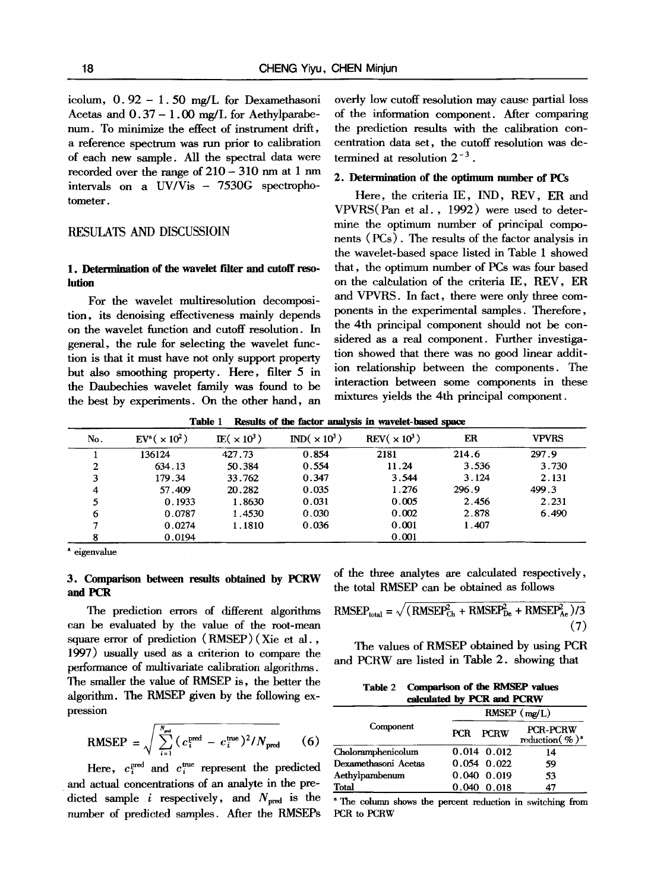icolum, 0.92- 1.50 mg/L for Dexamethasoni Acetas and  $0.37 - 1.00$  mg/L for Aethylparabenum. To minimize the effect of instrument drift, a reference spectrum was run prior to calibration of each new sample. All the spectral data were recorded over the range of  $210 - 310$  nm at 1 nm intervals on a UV/Vis - 7530G spectrophotometer.

## RESULATS AND DISCUSSIOIN

# 1. Determination of the wavelet filter and cutoff reso**lution**

For the wavelet multiresolution decomposition, its denoising effectiveness mainly depends on the wavelet fimction and cutoff resolution. In general, the rule for selecting the wavelet fimction is that it must have not only support property but also smoothing property. Here, filter 5 in the Daubechies wavelet family was found to be the best by experiments. On the other hand, an overly low cutoff resolution may cause partial loss of the information component. After comparing the prediction results with the calibration concentration data set, the cutoff resolution was determined at resolution  $2^{-3}$ .

#### **2. Determination of the optimmn number of** PCs

Here, the criteria IE, IND, REV, ER and VPVRS(Pan et al., 1992) were used to determine the optimum number of principal components (PCs). The results of the factor analysis in the wavelet-based space listed in Table 1 showed that, the optimum number of PCs was four based on the calculation of the criteria IE, REV, ER and VPVRS. In fact, there were only three components in the experimental samples. Therefore, the 4th principal component should not be considered as a real component. Further investigation showed that there was no good linear addition relationship between the components. The interaction between some components in these mixtures yields the 4th principal component.

**Table 1 Results of the factor** analysis in **wavelet-based space** 

| No. | $EV^a$ ( $\times 10^2$ ) | $\text{IE}(\times 10^3)$ | $IND(\times 10^3)$ | REV( $\times 10^3$ ) | ER    | <b>VPVRS</b> |
|-----|--------------------------|--------------------------|--------------------|----------------------|-------|--------------|
|     | 136124                   | 427.73                   | 0.854              | 2181                 | 214.6 | 297.9        |
| 2   | 634.13                   | 50.384                   | 0.554              | 11.24                | 3.536 | 3.730        |
| 3   | 179.34                   | 33.762                   | 0.347              | 3.544                | 3.124 | 2.131        |
| 4   | 57.409                   | 20.282                   | 0.035              | 1.276                | 296.9 | 499.3        |
| 5   | 0.1933                   | 1.8630                   | 0.031              | 0.005                | 2.456 | 2.231        |
| 6   | 0.0787                   | 1.4530                   | 0.030              | 0.002                | 2.878 | 6.490        |
|     | 0.0274                   | 1.1810                   | 0.036              | 0.001                | 1.407 |              |
| 8   | 0.0194                   |                          |                    | 0.001                |       |              |

<sup>a</sup> eigenvalue

# **3. Comparison between results obtained by PCRW and PCR**

The prediction errors of different algorithms can be evaluated by the value of the mot-mean square error of prediction (RMSEP) (Xie et al. , 1997) usually used as a criterion to compare the performance of multivariate calibration algorithms. The smaller the value of RMSEP is, the better the algorithm. The RMSEP given by the following expression

RMSEP = 
$$
\sqrt{\sum_{i=1}^{N_{\text{pred}}} (c_i^{\text{pred}} - c_i^{\text{true}})^2 / N_{\text{pred}}}
$$
 (6)

Here,  $c_i^{\text{pred}}$  and  $c_i^{\text{true}}$  represent the predicted and actual concentrations of an analyte in the predicted sample i respectively, and  $N_{\text{pred}}$  is the number of predicted samples. After the RMSEPs of the three analytes are calculated respectively, the total RMSEP can be obtained as follows

RMSEP<sub>total</sub> = 
$$
\sqrt{(RMSEPCh2 + RMSEPDe2 + RMSEPMe2)/(7)}
$$
 (7)

The values of RMSEP obtained by using PCR and PCRW are listed in Table 2. showing that

| Table 2 | <b>Comparison of the RMSEP values</b> |
|---------|---------------------------------------|
|         | calculated by PCR and PCRW            |

|                      | RMSEP (mg/L)              |  |                                                     |  |
|----------------------|---------------------------|--|-----------------------------------------------------|--|
| Component            | <b>PCRW</b><br><b>PCR</b> |  | <b>PCR-PCRW</b><br>reduction $(\% )^{\mathfrak{s}}$ |  |
| Choloramphenicolum   | $0.014$ 0.012             |  | 14                                                  |  |
| Dexamethasoni Acetas | $0.054 \quad 0.022$       |  | 59                                                  |  |
| Aethylparabenum      | $0.040 \quad 0.019$       |  | 53                                                  |  |
| Total                | $0.040 \quad 0.018$       |  | 47                                                  |  |

a The column shows the percent reduction in switching from PCR to PCRW